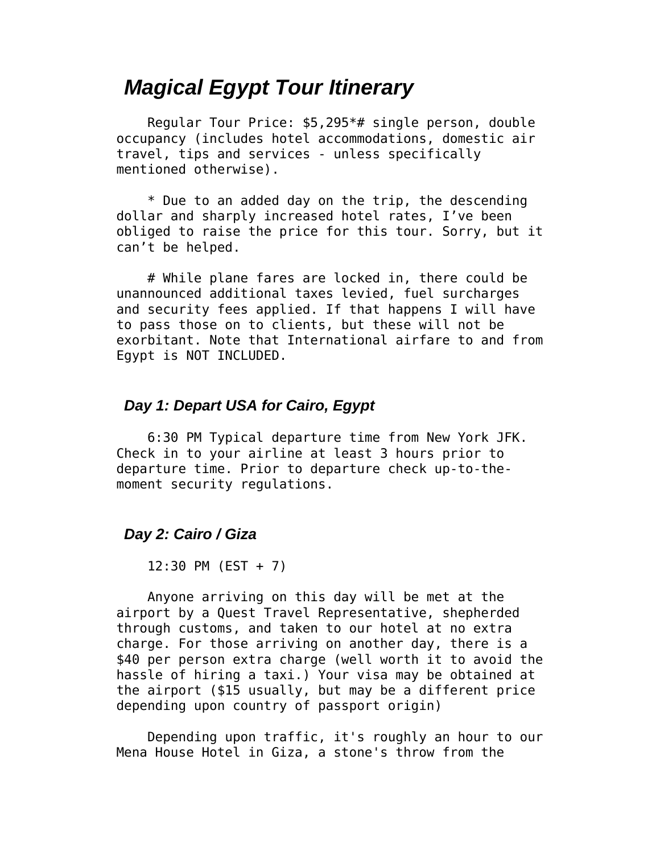# *Magical Egypt Tour Itinerary*

 Regular Tour Price: \$5,295\*# single person, double occupancy (includes hotel accommodations, domestic air travel, tips and services - unless specifically mentioned otherwise).

 \* Due to an added day on the trip, the descending dollar and sharply increased hotel rates, I've been obliged to raise the price for this tour. Sorry, but it can't be helped.

 # While plane fares are locked in, there could be unannounced additional taxes levied, fuel surcharges and security fees applied. If that happens I will have to pass those on to clients, but these will not be exorbitant. Note that International airfare to and from Egypt is NOT INCLUDED.

# *Day 1: Depart USA for Cairo, Egypt*

 6:30 PM Typical departure time from New York JFK. Check in to your airline at least 3 hours prior to departure time. Prior to departure check up-to-themoment security regulations.

## *Day 2: Cairo / Giza*

12:30 PM (EST + 7)

 Anyone arriving on this day will be met at the airport by a Quest Travel Representative, shepherded through customs, and taken to our hotel at no extra charge. For those arriving on another day, there is a \$40 per person extra charge (well worth it to avoid the hassle of hiring a taxi.) Your visa may be obtained at the airport (\$15 usually, but may be a different price depending upon country of passport origin)

 Depending upon traffic, it's roughly an hour to our Mena House Hotel in Giza, a stone's throw from the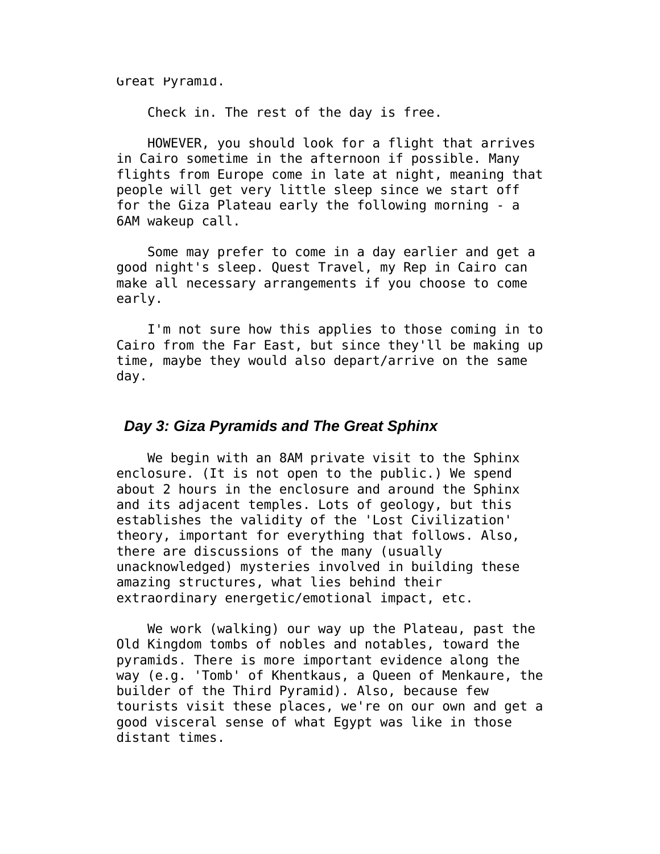Great Pyramid.

Check in. The rest of the day is free.

 HOWEVER, you should look for a flight that arrives in Cairo sometime in the afternoon if possible. Many flights from Europe come in late at night, meaning that people will get very little sleep since we start off for the Giza Plateau early the following morning - a 6AM wakeup call.

 Some may prefer to come in a day earlier and get a good night's sleep. Quest Travel, my Rep in Cairo can make all necessary arrangements if you choose to come early.

 I'm not sure how this applies to those coming in to Cairo from the Far East, but since they'll be making up time, maybe they would also depart/arrive on the same day.

### *Day 3: Giza Pyramids and The Great Sphinx*

 We begin with an 8AM private visit to the Sphinx enclosure. (It is not open to the public.) We spend about 2 hours in the enclosure and around the Sphinx and its adjacent temples. Lots of geology, but this establishes the validity of the 'Lost Civilization' theory, important for everything that follows. Also, there are discussions of the many (usually unacknowledged) mysteries involved in building these amazing structures, what lies behind their extraordinary energetic/emotional impact, etc.

 We work (walking) our way up the Plateau, past the Old Kingdom tombs of nobles and notables, toward the pyramids. There is more important evidence along the way (e.g. 'Tomb' of Khentkaus, a Queen of Menkaure, the builder of the Third Pyramid). Also, because few tourists visit these places, we're on our own and get a good visceral sense of what Egypt was like in those distant times.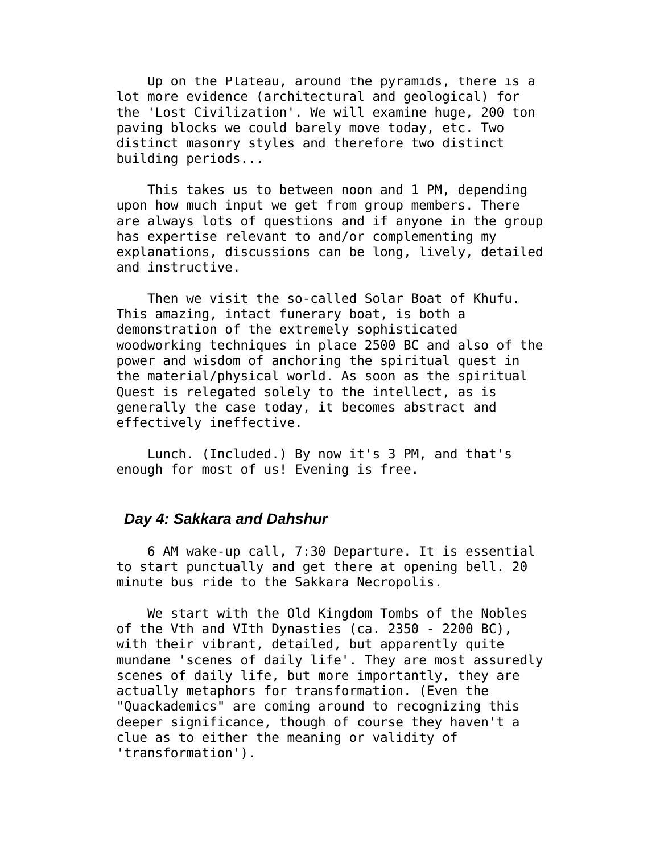Up on the Plateau, around the pyramids, there is a lot more evidence (architectural and geological) for the 'Lost Civilization'. We will examine huge, 200 ton paving blocks we could barely move today, etc. Two distinct masonry styles and therefore two distinct building periods...

 This takes us to between noon and 1 PM, depending upon how much input we get from group members. There are always lots of questions and if anyone in the group has expertise relevant to and/or complementing my explanations, discussions can be long, lively, detailed and instructive.

 Then we visit the so-called Solar Boat of Khufu. This amazing, intact funerary boat, is both a demonstration of the extremely sophisticated woodworking techniques in place 2500 BC and also of the power and wisdom of anchoring the spiritual quest in the material/physical world. As soon as the spiritual Quest is relegated solely to the intellect, as is generally the case today, it becomes abstract and effectively ineffective.

 Lunch. (Included.) By now it's 3 PM, and that's enough for most of us! Evening is free.

### *Day 4: Sakkara and Dahshur*

 6 AM wake-up call, 7:30 Departure. It is essential to start punctually and get there at opening bell. 20 minute bus ride to the Sakkara Necropolis.

 We start with the Old Kingdom Tombs of the Nobles of the Vth and VIth Dynasties (ca. 2350 - 2200 BC), with their vibrant, detailed, but apparently quite mundane 'scenes of daily life'. They are most assuredly scenes of daily life, but more importantly, they are actually metaphors for transformation. (Even the "Quackademics" are coming around to recognizing this deeper significance, though of course they haven't a clue as to either the meaning or validity of 'transformation').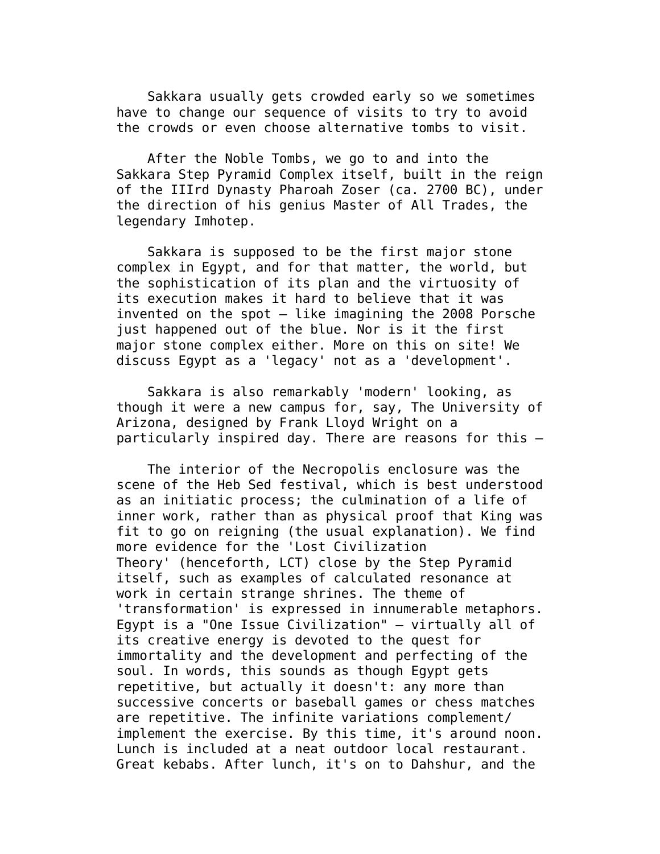Sakkara usually gets crowded early so we sometimes have to change our sequence of visits to try to avoid the crowds or even choose alternative tombs to visit.

 After the Noble Tombs, we go to and into the Sakkara Step Pyramid Complex itself, built in the reign of the IIIrd Dynasty Pharoah Zoser (ca. 2700 BC), under the direction of his genius Master of All Trades, the legendary Imhotep.

 Sakkara is supposed to be the first major stone complex in Egypt, and for that matter, the world, but the sophistication of its plan and the virtuosity of its execution makes it hard to believe that it was invented on the spot — like imagining the 2008 Porsche just happened out of the blue. Nor is it the first major stone complex either. More on this on site! We discuss Egypt as a 'legacy' not as a 'development'.

 Sakkara is also remarkably 'modern' looking, as though it were a new campus for, say, The University of Arizona, designed by Frank Lloyd Wright on a particularly inspired day. There are reasons for this —

 The interior of the Necropolis enclosure was the scene of the Heb Sed festival, which is best understood as an initiatic process; the culmination of a life of inner work, rather than as physical proof that King was fit to go on reigning (the usual explanation). We find more evidence for the 'Lost Civilization Theory' (henceforth, LCT) close by the Step Pyramid itself, such as examples of calculated resonance at work in certain strange shrines. The theme of 'transformation' is expressed in innumerable metaphors. Egypt is a "One Issue Civilization" — virtually all of its creative energy is devoted to the quest for immortality and the development and perfecting of the soul. In words, this sounds as though Egypt gets repetitive, but actually it doesn't: any more than successive concerts or baseball games or chess matches are repetitive. The infinite variations complement/ implement the exercise. By this time, it's around noon. Lunch is included at a neat outdoor local restaurant. Great kebabs. After lunch, it's on to Dahshur, and the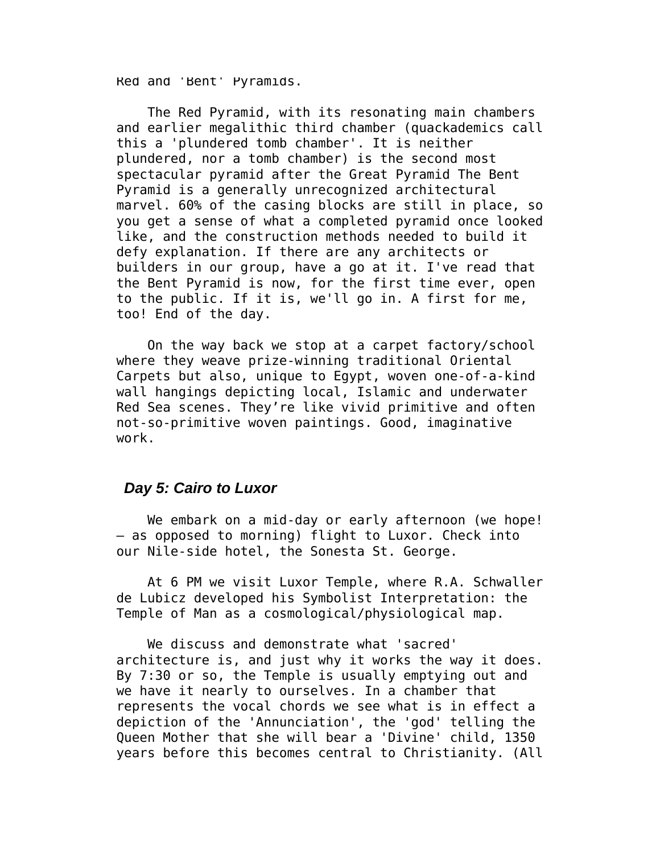Red and 'Bent' Pyramids.

 The Red Pyramid, with its resonating main chambers and earlier megalithic third chamber (quackademics call this a 'plundered tomb chamber'. It is neither plundered, nor a tomb chamber) is the second most spectacular pyramid after the Great Pyramid The Bent Pyramid is a generally unrecognized architectural marvel. 60% of the casing blocks are still in place, so you get a sense of what a completed pyramid once looked like, and the construction methods needed to build it defy explanation. If there are any architects or builders in our group, have a go at it. I've read that the Bent Pyramid is now, for the first time ever, open to the public. If it is, we'll go in. A first for me, too! End of the day.

 On the way back we stop at a carpet factory/school where they weave prize-winning traditional Oriental Carpets but also, unique to Egypt, woven one-of-a-kind wall hangings depicting local, Islamic and underwater Red Sea scenes. They're like vivid primitive and often not-so-primitive woven paintings. Good, imaginative work.

#### *Day 5: Cairo to Luxor*

 We embark on a mid-day or early afternoon (we hope! — as opposed to morning) flight to Luxor. Check into our Nile-side hotel, the Sonesta St. George.

 At 6 PM we visit Luxor Temple, where R.A. Schwaller de Lubicz developed his Symbolist Interpretation: the Temple of Man as a cosmological/physiological map.

 We discuss and demonstrate what 'sacred' architecture is, and just why it works the way it does. By 7:30 or so, the Temple is usually emptying out and we have it nearly to ourselves. In a chamber that represents the vocal chords we see what is in effect a depiction of the 'Annunciation', the 'god' telling the Queen Mother that she will bear a 'Divine' child, 1350 years before this becomes central to Christianity. (All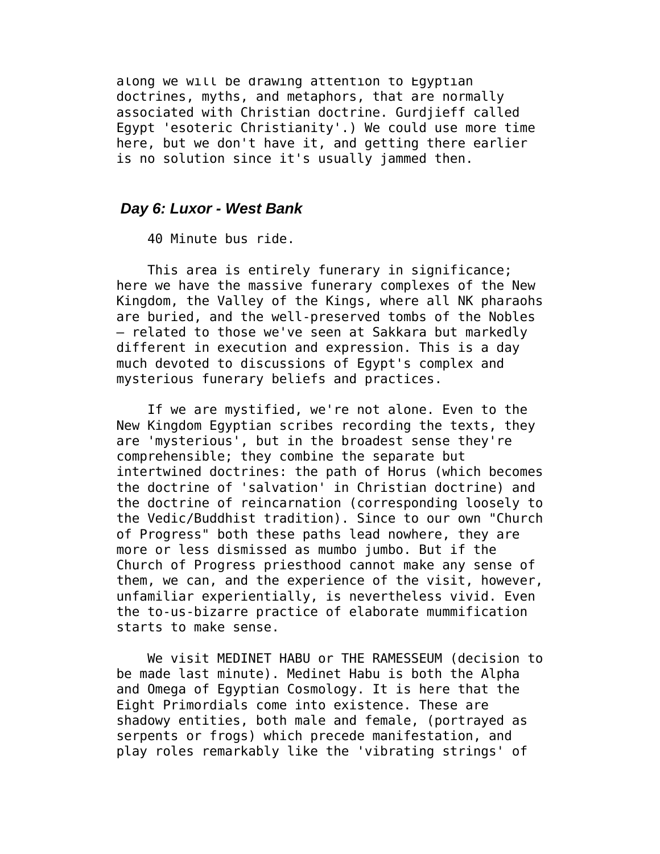along we will be drawing attention to Egyptian doctrines, myths, and metaphors, that are normally associated with Christian doctrine. Gurdjieff called Egypt 'esoteric Christianity'.) We could use more time here, but we don't have it, and getting there earlier is no solution since it's usually jammed then.

### *Day 6: Luxor - West Bank*

40 Minute bus ride.

This area is entirely funerary in significance; here we have the massive funerary complexes of the New Kingdom, the Valley of the Kings, where all NK pharaohs are buried, and the well-preserved tombs of the Nobles — related to those we've seen at Sakkara but markedly different in execution and expression. This is a day much devoted to discussions of Egypt's complex and mysterious funerary beliefs and practices.

 If we are mystified, we're not alone. Even to the New Kingdom Egyptian scribes recording the texts, they are 'mysterious', but in the broadest sense they're comprehensible; they combine the separate but intertwined doctrines: the path of Horus (which becomes the doctrine of 'salvation' in Christian doctrine) and the doctrine of reincarnation (corresponding loosely to the Vedic/Buddhist tradition). Since to our own "Church of Progress" both these paths lead nowhere, they are more or less dismissed as mumbo jumbo. But if the Church of Progress priesthood cannot make any sense of them, we can, and the experience of the visit, however, unfamiliar experientially, is nevertheless vivid. Even the to-us-bizarre practice of elaborate mummification starts to make sense.

 We visit MEDINET HABU or THE RAMESSEUM (decision to be made last minute). Medinet Habu is both the Alpha and Omega of Egyptian Cosmology. It is here that the Eight Primordials come into existence. These are shadowy entities, both male and female, (portrayed as serpents or frogs) which precede manifestation, and play roles remarkably like the 'vibrating strings' of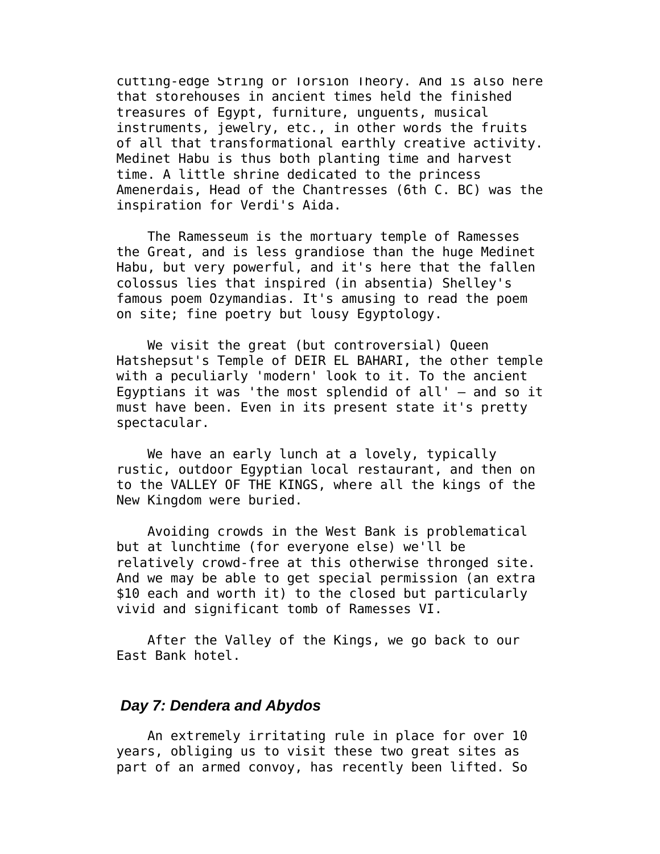cutting-edge String or Torsion Theory. And is also here that storehouses in ancient times held the finished treasures of Egypt, furniture, unguents, musical instruments, jewelry, etc., in other words the fruits of all that transformational earthly creative activity. Medinet Habu is thus both planting time and harvest time. A little shrine dedicated to the princess Amenerdais, Head of the Chantresses (6th C. BC) was the inspiration for Verdi's Aida.

 The Ramesseum is the mortuary temple of Ramesses the Great, and is less grandiose than the huge Medinet Habu, but very powerful, and it's here that the fallen colossus lies that inspired (in absentia) Shelley's famous poem Ozymandias. It's amusing to read the poem on site; fine poetry but lousy Egyptology.

We visit the great (but controversial) Oueen Hatshepsut's Temple of DEIR EL BAHARI, the other temple with a peculiarly 'modern' look to it. To the ancient Egyptians it was 'the most splendid of all' — and so it must have been. Even in its present state it's pretty spectacular.

 We have an early lunch at a lovely, typically rustic, outdoor Egyptian local restaurant, and then on to the VALLEY OF THE KINGS, where all the kings of the New Kingdom were buried.

 Avoiding crowds in the West Bank is problematical but at lunchtime (for everyone else) we'll be relatively crowd-free at this otherwise thronged site. And we may be able to get special permission (an extra \$10 each and worth it) to the closed but particularly vivid and significant tomb of Ramesses VI.

 After the Valley of the Kings, we go back to our East Bank hotel.

### *Day 7: Dendera and Abydos*

 An extremely irritating rule in place for over 10 years, obliging us to visit these two great sites as part of an armed convoy, has recently been lifted. So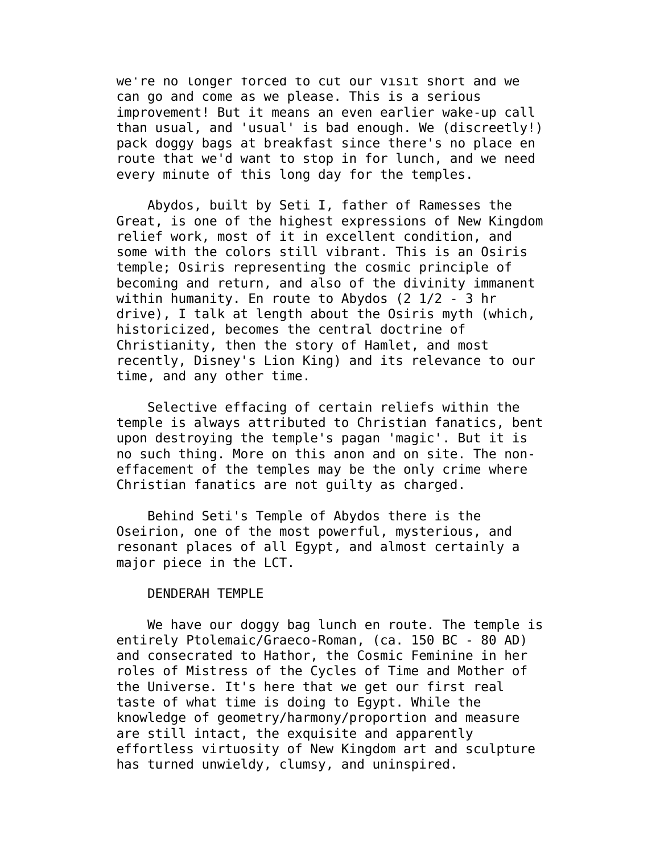we're no longer forced to cut our visit short and we can go and come as we please. This is a serious improvement! But it means an even earlier wake-up call than usual, and 'usual' is bad enough. We (discreetly!) pack doggy bags at breakfast since there's no place en route that we'd want to stop in for lunch, and we need every minute of this long day for the temples.

 Abydos, built by Seti I, father of Ramesses the Great, is one of the highest expressions of New Kingdom relief work, most of it in excellent condition, and some with the colors still vibrant. This is an Osiris temple; Osiris representing the cosmic principle of becoming and return, and also of the divinity immanent within humanity. En route to Abydos (2 1/2 - 3 hr drive), I talk at length about the Osiris myth (which, historicized, becomes the central doctrine of Christianity, then the story of Hamlet, and most recently, Disney's Lion King) and its relevance to our time, and any other time.

 Selective effacing of certain reliefs within the temple is always attributed to Christian fanatics, bent upon destroying the temple's pagan 'magic'. But it is no such thing. More on this anon and on site. The noneffacement of the temples may be the only crime where Christian fanatics are not guilty as charged.

 Behind Seti's Temple of Abydos there is the Oseirion, one of the most powerful, mysterious, and resonant places of all Egypt, and almost certainly a major piece in the LCT.

#### DENDERAH TEMPLE

 We have our doggy bag lunch en route. The temple is entirely Ptolemaic/Graeco-Roman, (ca. 150 BC - 80 AD) and consecrated to Hathor, the Cosmic Feminine in her roles of Mistress of the Cycles of Time and Mother of the Universe. It's here that we get our first real taste of what time is doing to Egypt. While the knowledge of geometry/harmony/proportion and measure are still intact, the exquisite and apparently effortless virtuosity of New Kingdom art and sculpture has turned unwieldy, clumsy, and uninspired.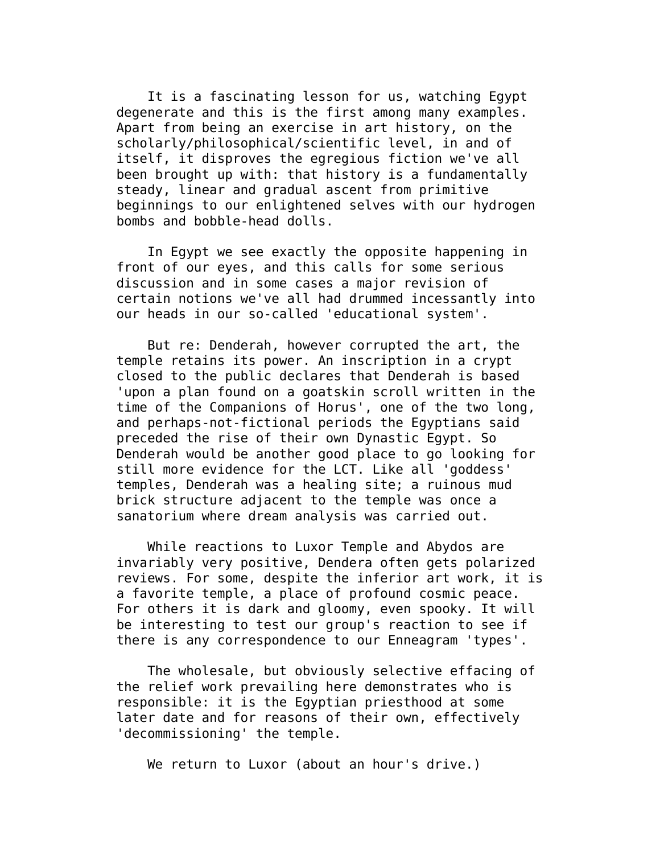It is a fascinating lesson for us, watching Egypt degenerate and this is the first among many examples. Apart from being an exercise in art history, on the scholarly/philosophical/scientific level, in and of itself, it disproves the egregious fiction we've all been brought up with: that history is a fundamentally steady, linear and gradual ascent from primitive beginnings to our enlightened selves with our hydrogen bombs and bobble-head dolls.

 In Egypt we see exactly the opposite happening in front of our eyes, and this calls for some serious discussion and in some cases a major revision of certain notions we've all had drummed incessantly into our heads in our so-called 'educational system'.

 But re: Denderah, however corrupted the art, the temple retains its power. An inscription in a crypt closed to the public declares that Denderah is based 'upon a plan found on a goatskin scroll written in the time of the Companions of Horus', one of the two long, and perhaps-not-fictional periods the Egyptians said preceded the rise of their own Dynastic Egypt. So Denderah would be another good place to go looking for still more evidence for the LCT. Like all 'goddess' temples, Denderah was a healing site; a ruinous mud brick structure adjacent to the temple was once a sanatorium where dream analysis was carried out.

 While reactions to Luxor Temple and Abydos are invariably very positive, Dendera often gets polarized reviews. For some, despite the inferior art work, it is a favorite temple, a place of profound cosmic peace. For others it is dark and gloomy, even spooky. It will be interesting to test our group's reaction to see if there is any correspondence to our Enneagram 'types'.

 The wholesale, but obviously selective effacing of the relief work prevailing here demonstrates who is responsible: it is the Egyptian priesthood at some later date and for reasons of their own, effectively 'decommissioning' the temple.

We return to Luxor (about an hour's drive.)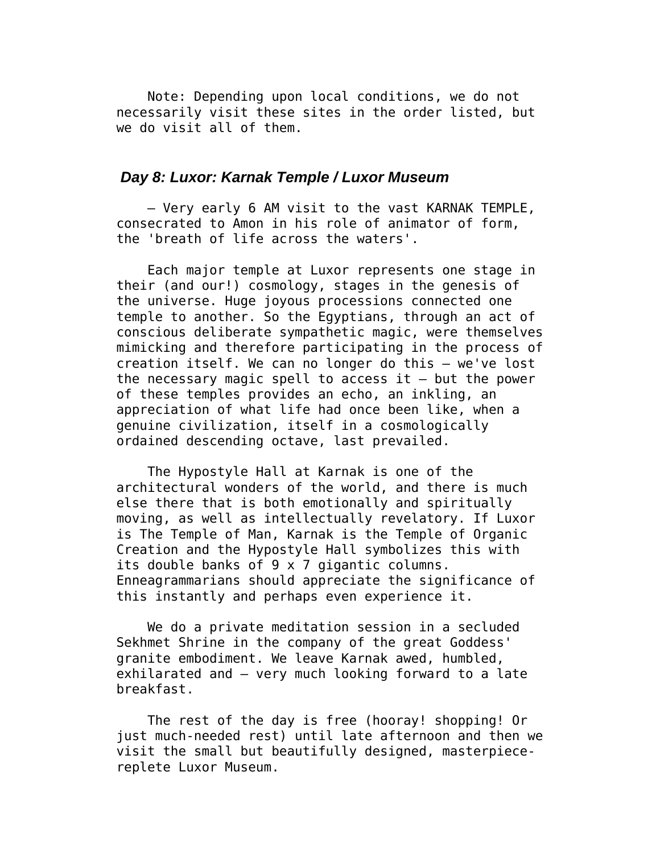Note: Depending upon local conditions, we do not necessarily visit these sites in the order listed, but we do visit all of them.

### *Day 8: Luxor: Karnak Temple / Luxor Museum*

 — Very early 6 AM visit to the vast KARNAK TEMPLE, consecrated to Amon in his role of animator of form, the 'breath of life across the waters'.

 Each major temple at Luxor represents one stage in their (and our!) cosmology, stages in the genesis of the universe. Huge joyous processions connected one temple to another. So the Egyptians, through an act of conscious deliberate sympathetic magic, were themselves mimicking and therefore participating in the process of creation itself. We can no longer do this — we've lost the necessary magic spell to access it  $-$  but the power of these temples provides an echo, an inkling, an appreciation of what life had once been like, when a genuine civilization, itself in a cosmologically ordained descending octave, last prevailed.

 The Hypostyle Hall at Karnak is one of the architectural wonders of the world, and there is much else there that is both emotionally and spiritually moving, as well as intellectually revelatory. If Luxor is The Temple of Man, Karnak is the Temple of Organic Creation and the Hypostyle Hall symbolizes this with its double banks of 9 x 7 gigantic columns. Enneagrammarians should appreciate the significance of this instantly and perhaps even experience it.

 We do a private meditation session in a secluded Sekhmet Shrine in the company of the great Goddess' granite embodiment. We leave Karnak awed, humbled, exhilarated and — very much looking forward to a late breakfast.

 The rest of the day is free (hooray! shopping! Or just much-needed rest) until late afternoon and then we visit the small but beautifully designed, masterpiecereplete Luxor Museum.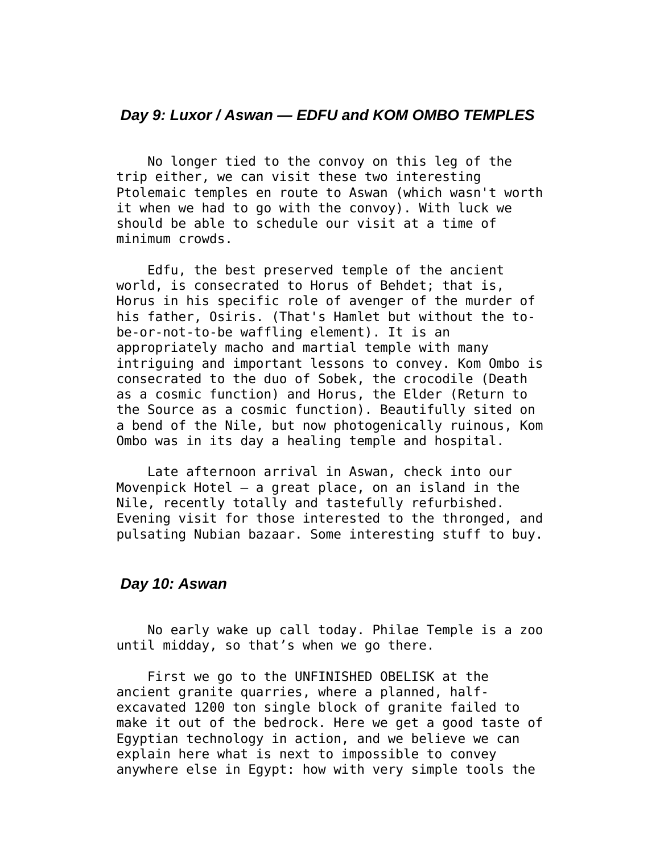### *Day 9: Luxor / Aswan — EDFU and KOM OMBO TEMPLES*

 No longer tied to the convoy on this leg of the trip either, we can visit these two interesting Ptolemaic temples en route to Aswan (which wasn't worth it when we had to go with the convoy). With luck we should be able to schedule our visit at a time of minimum crowds.

 Edfu, the best preserved temple of the ancient world, is consecrated to Horus of Behdet; that is, Horus in his specific role of avenger of the murder of his father, Osiris. (That's Hamlet but without the tobe-or-not-to-be waffling element). It is an appropriately macho and martial temple with many intriguing and important lessons to convey. Kom Ombo is consecrated to the duo of Sobek, the crocodile (Death as a cosmic function) and Horus, the Elder (Return to the Source as a cosmic function). Beautifully sited on a bend of the Nile, but now photogenically ruinous, Kom Ombo was in its day a healing temple and hospital.

 Late afternoon arrival in Aswan, check into our Movenpick Hotel  $-$  a great place, on an island in the Nile, recently totally and tastefully refurbished. Evening visit for those interested to the thronged, and pulsating Nubian bazaar. Some interesting stuff to buy.

# *Day 10: Aswan*

 No early wake up call today. Philae Temple is a zoo until midday, so that's when we go there.

 First we go to the UNFINISHED OBELISK at the ancient granite quarries, where a planned, halfexcavated 1200 ton single block of granite failed to make it out of the bedrock. Here we get a good taste of Egyptian technology in action, and we believe we can explain here what is next to impossible to convey anywhere else in Egypt: how with very simple tools the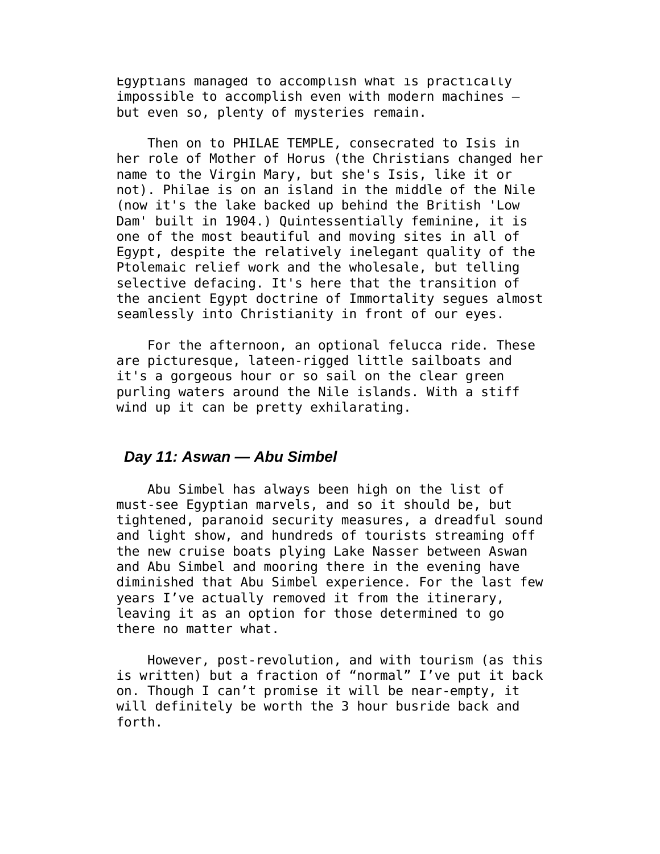Egyptians managed to accomplish what is practically impossible to accomplish even with modern machines but even so, plenty of mysteries remain.

 Then on to PHILAE TEMPLE, consecrated to Isis in her role of Mother of Horus (the Christians changed her name to the Virgin Mary, but she's Isis, like it or not). Philae is on an island in the middle of the Nile (now it's the lake backed up behind the British 'Low Dam' built in 1904.) Quintessentially feminine, it is one of the most beautiful and moving sites in all of Egypt, despite the relatively inelegant quality of the Ptolemaic relief work and the wholesale, but telling selective defacing. It's here that the transition of the ancient Egypt doctrine of Immortality segues almost seamlessly into Christianity in front of our eyes.

 For the afternoon, an optional felucca ride. These are picturesque, lateen-rigged little sailboats and it's a gorgeous hour or so sail on the clear green purling waters around the Nile islands. With a stiff wind up it can be pretty exhilarating.

### *Day 11: Aswan — Abu Simbel*

 Abu Simbel has always been high on the list of must-see Egyptian marvels, and so it should be, but tightened, paranoid security measures, a dreadful sound and light show, and hundreds of tourists streaming off the new cruise boats plying Lake Nasser between Aswan and Abu Simbel and mooring there in the evening have diminished that Abu Simbel experience. For the last few years I've actually removed it from the itinerary, leaving it as an option for those determined to go there no matter what.

 However, post-revolution, and with tourism (as this is written) but a fraction of "normal" I've put it back on. Though I can't promise it will be near-empty, it will definitely be worth the 3 hour busride back and forth.